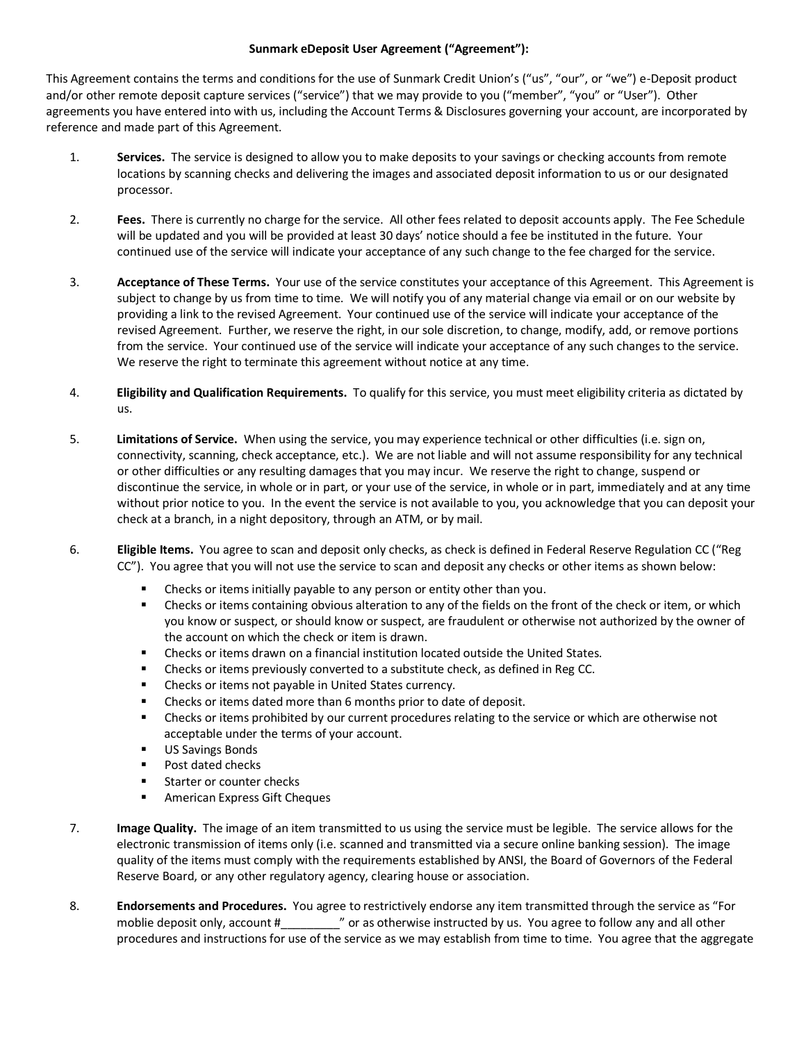## **Sunmark eDeposit User Agreement ("Agreement"):**

This Agreement contains the terms and conditions for the use of Sunmark Credit Union's ("us", "our", or "we") e-Deposit product and/or other remote deposit capture services ("service") that we may provide to you ("member", "you" or "User"). Other agreements you have entered into with us, including the Account Terms & Disclosures governing your account, are incorporated by reference and made part of this Agreement.

- 1. **Services.** The service is designed to allow you to make deposits to your savings or checking accounts from remote locations by scanning checks and delivering the images and associated deposit information to us or our designated processor.
- 2. **Fees.** There is currently no charge for the service. All other fees related to deposit accounts apply. The Fee Schedule will be updated and you will be provided at least 30 days' notice should a fee be instituted in the future. Your continued use of the service will indicate your acceptance of any such change to the fee charged for the service.
- 3. **Acceptance of These Terms.** Your use of the service constitutes your acceptance of this Agreement. This Agreement is subject to change by us from time to time. We will notify you of any material change via email or on our website by providing a link to the revised Agreement. Your continued use of the service will indicate your acceptance of the revised Agreement. Further, we reserve the right, in our sole discretion, to change, modify, add, or remove portions from the service. Your continued use of the service will indicate your acceptance of any such changes to the service. We reserve the right to terminate this agreement without notice at any time.
- 4. **Eligibility and Qualification Requirements.** To qualify for this service, you must meet eligibility criteria as dictated by us.
- 5. **Limitations of Service.** When using the service, you may experience technical or other difficulties (i.e. sign on, connectivity, scanning, check acceptance, etc.). We are not liable and will not assume responsibility for any technical or other difficulties or any resulting damages that you may incur. We reserve the right to change, suspend or discontinue the service, in whole or in part, or your use of the service, in whole or in part, immediately and at any time without prior notice to you. In the event the service is not available to you, you acknowledge that you can deposit your check at a branch, in a night depository, through an ATM, or by mail.
- 6. **Eligible Items.** You agree to scan and deposit only checks, as check is defined in Federal Reserve Regulation CC ("Reg CC"). You agree that you will not use the service to scan and deposit any checks or other items as shown below:
	- Checks or items initially payable to any person or entity other than you.
	- Checks or items containing obvious alteration to any of the fields on the front of the check or item, or which you know or suspect, or should know or suspect, are fraudulent or otherwise not authorized by the owner of the account on which the check or item is drawn.
	- Checks or items drawn on a financial institution located outside the United States.
	- Checks or items previously converted to a substitute check, as defined in Reg CC.
	- Checks or items not payable in United States currency.
	- Checks or items dated more than 6 months prior to date of deposit.
	- Checks or items prohibited by our current procedures relating to the service or which are otherwise not acceptable under the terms of your account.
	- US Savings Bonds
	- Post dated checks
	- Starter or counter checks
	- American Express Gift Cheques
- 7. **Image Quality.** The image of an item transmitted to us using the service must be legible. The service allows for the electronic transmission of items only (i.e. scanned and transmitted via a secure online banking session). The image quality of the items must comply with the requirements established by ANSI, the Board of Governors of the Federal Reserve Board, or any other regulatory agency, clearing house or association.
- 8. **Endorsements and Procedures.** You agree to restrictively endorse any item transmitted through the service as "For moblie deposit only, account #  $\blacksquare$  or as otherwise instructed by us. You agree to follow any and all other procedures and instructions for use of the service as we may establish from time to time. You agree that the aggregate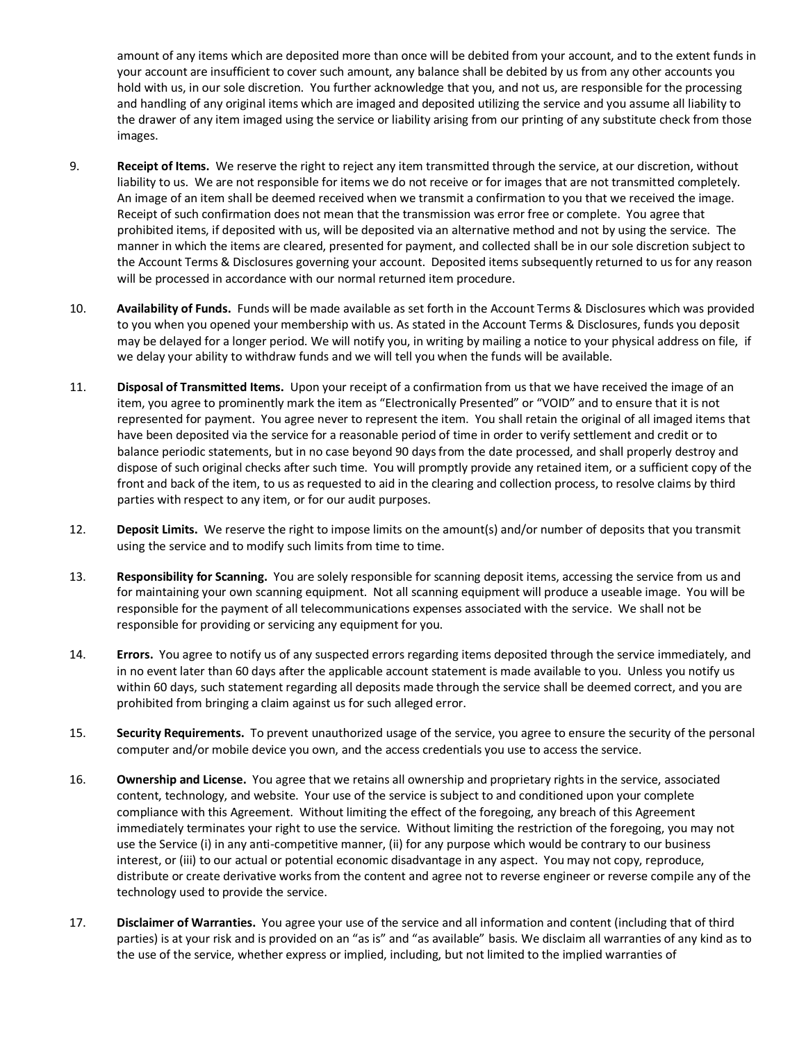amount of any items which are deposited more than once will be debited from your account, and to the extent funds in your account are insufficient to cover such amount, any balance shall be debited by us from any other accounts you hold with us, in our sole discretion. You further acknowledge that you, and not us, are responsible for the processing and handling of any original items which are imaged and deposited utilizing the service and you assume all liability to the drawer of any item imaged using the service or liability arising from our printing of any substitute check from those images.

- 9. **Receipt of Items.** We reserve the right to reject any item transmitted through the service, at our discretion, without liability to us. We are not responsible for items we do not receive or for images that are not transmitted completely. An image of an item shall be deemed received when we transmit a confirmation to you that we received the image. Receipt of such confirmation does not mean that the transmission was error free or complete. You agree that prohibited items, if deposited with us, will be deposited via an alternative method and not by using the service. The manner in which the items are cleared, presented for payment, and collected shall be in our sole discretion subject to the Account Terms & Disclosures governing your account. Deposited items subsequently returned to us for any reason will be processed in accordance with our normal returned item procedure.
- 10. **Availability of Funds.** Funds will be made available as set forth in the Account Terms & Disclosures which was provided to you when you opened your membership with us. As stated in the Account Terms & Disclosures, funds you deposit may be delayed for a longer period. We will notify you, in writing by mailing a notice to your physical address on file, if we delay your ability to withdraw funds and we will tell you when the funds will be available.
- 11. **Disposal of Transmitted Items.** Upon your receipt of a confirmation from us that we have received the image of an item, you agree to prominently mark the item as "Electronically Presented" or "VOID" and to ensure that it is not represented for payment. You agree never to represent the item. You shall retain the original of all imaged items that have been deposited via the service for a reasonable period of time in order to verify settlement and credit or to balance periodic statements, but in no case beyond 90 daysfrom the date processed, and shall properly destroy and dispose of such original checks after such time. You will promptly provide any retained item, or a sufficient copy of the front and back of the item, to us as requested to aid in the clearing and collection process, to resolve claims by third parties with respect to any item, or for our audit purposes.
- 12. **Deposit Limits.** We reserve the right to impose limits on the amount(s) and/or number of deposits that you transmit using the service and to modify such limits from time to time.
- 13. **Responsibility for Scanning.** You are solely responsible for scanning deposit items, accessing the service from us and for maintaining your own scanning equipment. Not all scanning equipment will produce a useable image. You will be responsible for the payment of all telecommunications expenses associated with the service. We shall not be responsible for providing or servicing any equipment for you.
- 14. **Errors.** You agree to notify us of any suspected errors regarding items deposited through the service immediately, and in no event later than 60 days after the applicable account statement is made available to you. Unless you notify us within 60 days, such statement regarding all deposits made through the service shall be deemed correct, and you are prohibited from bringing a claim against us for such alleged error.
- 15. **Security Requirements.** To prevent unauthorized usage of the service, you agree to ensure the security of the personal computer and/or mobile device you own, and the access credentials you use to access the service.
- 16. **Ownership and License.** You agree that we retains all ownership and proprietary rights in the service, associated content, technology, and website. Your use of the service is subject to and conditioned upon your complete compliance with this Agreement. Without limiting the effect of the foregoing, any breach of this Agreement immediately terminates your right to use the service. Without limiting the restriction of the foregoing, you may not use the Service (i) in any anti-competitive manner, (ii) for any purpose which would be contrary to our business interest, or (iii) to our actual or potential economic disadvantage in any aspect. You may not copy, reproduce, distribute or create derivative works from the content and agree not to reverse engineer or reverse compile any of the technology used to provide the service.
- 17. **Disclaimer of Warranties.** You agree your use of the service and all information and content (including that of third parties) is at your risk and is provided on an "as is" and "as available" basis. We disclaim all warranties of any kind as to the use of the service, whether express or implied, including, but not limited to the implied warranties of